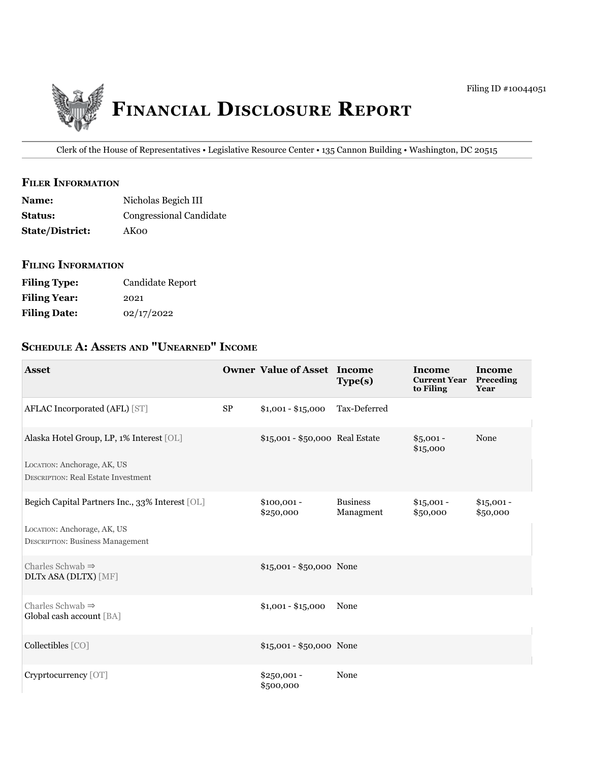

Clerk of the House of Representatives • Legislative Resource Center • 135 Cannon Building • Washington, DC 20515

### **filer iNfOrmatiON**

| <b>Name:</b>           | Nicholas Begich III     |
|------------------------|-------------------------|
| <b>Status:</b>         | Congressional Candidate |
| <b>State/District:</b> | AKoo                    |

### **filiNg iNfOrmatiON**

| <b>Filing Type:</b> | Candidate Report |
|---------------------|------------------|
| <b>Filing Year:</b> | 2021             |
| <b>Filing Date:</b> | 02/17/2022       |

# **ScheDule a: aSSetS aND "uNearNeD" iNcOme**

| <b>Asset</b>                                                              |          | <b>Owner Value of Asset Income</b> | Type(s)                      | Income<br><b>Current Year</b><br>to Filing | Income<br>Preceding<br>Year |
|---------------------------------------------------------------------------|----------|------------------------------------|------------------------------|--------------------------------------------|-----------------------------|
| AFLAC Incorporated (AFL) [ST]                                             | $\rm SP$ | $$1,001 - $15,000$                 | Tax-Deferred                 |                                            |                             |
| Alaska Hotel Group, LP, 1% Interest [OL]                                  |          | \$15,001 - \$50,000 Real Estate    |                              | $$5,001 -$<br>\$15,000                     | None                        |
| LOCATION: Anchorage, AK, US<br><b>DESCRIPTION: Real Estate Investment</b> |          |                                    |                              |                                            |                             |
| Begich Capital Partners Inc., 33% Interest [OL]                           |          | $$100,001 -$<br>\$250,000          | <b>Business</b><br>Managment | $$15,001 -$<br>\$50,000                    | $$15,001 -$<br>\$50,000     |
| LOCATION: Anchorage, AK, US<br><b>DESCRIPTION: Business Management</b>    |          |                                    |                              |                                            |                             |
| Charles Schwab $\Rightarrow$<br><b>DLTx ASA (DLTX)</b> [MF]               |          | \$15,001 - \$50,000 None           |                              |                                            |                             |
| Charles Schwab $\Rightarrow$<br>Global cash account [BA]                  |          | $$1,001 - $15,000$                 | None                         |                                            |                             |
| Collectibles [CO]                                                         |          | $$15,001 - $50,000$ None           |                              |                                            |                             |
| Cryprtocurrency [OT]                                                      |          | \$250,001 -<br>\$500,000           | None                         |                                            |                             |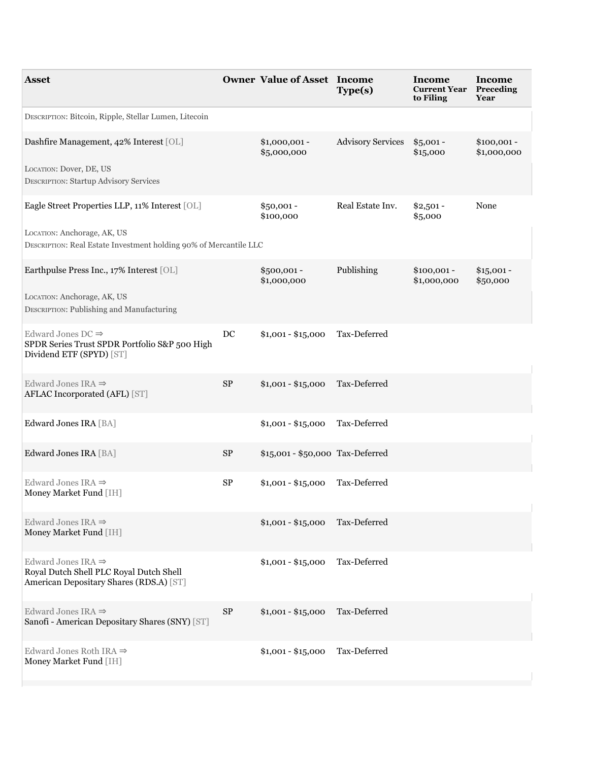| Asset                                                                                                                |                  | <b>Owner Value of Asset Income</b> | Type(s)                  | <b>Income</b><br><b>Current Year</b><br>to Filing | Income<br>Preceding<br>Year |
|----------------------------------------------------------------------------------------------------------------------|------------------|------------------------------------|--------------------------|---------------------------------------------------|-----------------------------|
| DESCRIPTION: Bitcoin, Ripple, Stellar Lumen, Litecoin                                                                |                  |                                    |                          |                                                   |                             |
| Dashfire Management, 42% Interest [OL]                                                                               |                  | $$1,000,001$ -<br>\$5,000,000      | <b>Advisory Services</b> | $$5,001 -$<br>\$15,000                            | $$100,001 -$<br>\$1,000,000 |
| LOCATION: Dover, DE, US<br><b>DESCRIPTION: Startup Advisory Services</b>                                             |                  |                                    |                          |                                                   |                             |
| Eagle Street Properties LLP, 11% Interest [OL]                                                                       |                  | $$50,001 -$<br>\$100,000           | Real Estate Inv.         | $$2,501 -$<br>\$5,000                             | None                        |
| LOCATION: Anchorage, AK, US<br>DESCRIPTION: Real Estate Investment holding 90% of Mercantile LLC                     |                  |                                    |                          |                                                   |                             |
| Earthpulse Press Inc., 17% Interest [OL]                                                                             |                  | $$500,001 -$<br>\$1,000,000        | Publishing               | $$100,001 -$<br>\$1,000,000                       | $$15,001 -$<br>\$50,000     |
| LOCATION: Anchorage, AK, US<br>DESCRIPTION: Publishing and Manufacturing                                             |                  |                                    |                          |                                                   |                             |
| Edward Jones DC $\Rightarrow$<br>SPDR Series Trust SPDR Portfolio S&P 500 High<br>Dividend ETF (SPYD) [ST]           | $_{\mathrm{DC}}$ | $$1,001 - $15,000$                 | Tax-Deferred             |                                                   |                             |
| Edward Jones IRA $\Rightarrow$<br>AFLAC Incorporated (AFL) [ST]                                                      | ${\rm SP}$       | $$1,001 - $15,000$                 | Tax-Deferred             |                                                   |                             |
| Edward Jones IRA [BA]                                                                                                |                  | $$1,001 - $15,000$                 | Tax-Deferred             |                                                   |                             |
| Edward Jones IRA [BA]                                                                                                | ${\rm SP}$       | \$15,001 - \$50,000 Tax-Deferred   |                          |                                                   |                             |
| Edward Jones IRA $\Rightarrow$<br>Money Market Fund [IH]                                                             | ${\rm SP}$       | $$1,001 - $15,000$                 | Tax-Deferred             |                                                   |                             |
| Edward Jones IRA $\Rightarrow$<br>Money Market Fund [IH]                                                             |                  | \$1,001 - \$15,000 Tax-Deferred    |                          |                                                   |                             |
| Edward Jones IRA $\Rightarrow$<br>Royal Dutch Shell PLC Royal Dutch Shell<br>American Depositary Shares (RDS.A) [ST] |                  | $$1,001 - $15,000$                 | Tax-Deferred             |                                                   |                             |
| Edward Jones IRA $\Rightarrow$<br>Sanofi - American Depositary Shares (SNY) [ST]                                     | <b>SP</b>        | $$1,001 - $15,000$                 | Tax-Deferred             |                                                   |                             |
| Edward Jones Roth IRA $\Rightarrow$<br>Money Market Fund [IH]                                                        |                  | $$1,001 - $15,000$                 | Tax-Deferred             |                                                   |                             |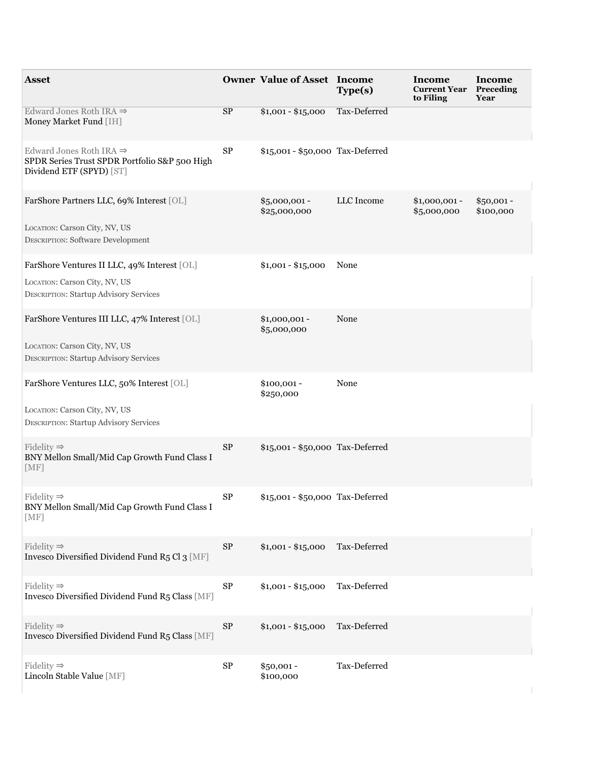| <b>Asset</b>                                                                                                     |            | <b>Owner Value of Asset Income</b> | Type(s)      | Income<br><b>Current Year</b><br>to Filing | Income<br>Preceding<br>Year |
|------------------------------------------------------------------------------------------------------------------|------------|------------------------------------|--------------|--------------------------------------------|-----------------------------|
| Edward Jones Roth IRA $\Rightarrow$<br>Money Market Fund [IH]                                                    | SP         | $$1,001 - $15,000$                 | Tax-Deferred |                                            |                             |
| Edward Jones Roth IRA $\Rightarrow$<br>SPDR Series Trust SPDR Portfolio S&P 500 High<br>Dividend ETF (SPYD) [ST] | ${\rm SP}$ | \$15,001 - \$50,000 Tax-Deferred   |              |                                            |                             |
| FarShore Partners LLC, 69% Interest [OL]                                                                         |            | $$5,000,001 -$<br>\$25,000,000     | LLC Income   | $$1,000,001 -$<br>\$5,000,000              | $$50,001 -$<br>\$100,000    |
| LOCATION: Carson City, NV, US<br><b>DESCRIPTION: Software Development</b>                                        |            |                                    |              |                                            |                             |
| FarShore Ventures II LLC, 49% Interest [OL]<br>LOCATION: Carson City, NV, US                                     |            | $$1,001 - $15,000$                 | None         |                                            |                             |
| <b>DESCRIPTION: Startup Advisory Services</b>                                                                    |            |                                    |              |                                            |                             |
| FarShore Ventures III LLC, 47% Interest [OL]                                                                     |            | $$1,000,001 -$<br>\$5,000,000      | None         |                                            |                             |
| LOCATION: Carson City, NV, US<br><b>DESCRIPTION: Startup Advisory Services</b>                                   |            |                                    |              |                                            |                             |
| FarShore Ventures LLC, 50% Interest [OL]                                                                         |            | $$100,001 -$<br>\$250,000          | None         |                                            |                             |
| LOCATION: Carson City, NV, US<br><b>DESCRIPTION: Startup Advisory Services</b>                                   |            |                                    |              |                                            |                             |
| Fidelity $\Rightarrow$<br>BNY Mellon Small/Mid Cap Growth Fund Class I<br>[MF]                                   | $\rm SP$   | \$15,001 - \$50,000 Tax-Deferred   |              |                                            |                             |
| Fidelity $\Rightarrow$<br>BNY Mellon Small/Mid Cap Growth Fund Class I<br>[MF]                                   | ${\rm SP}$ | \$15,001 - \$50,000 Tax-Deferred   |              |                                            |                             |
| Fidelity $\Rightarrow$<br>Invesco Diversified Dividend Fund R5 Cl 3 [MF]                                         | ${\rm SP}$ | $$1,001 - $15,000$                 | Tax-Deferred |                                            |                             |
| Fidelity $\Rightarrow$<br>Invesco Diversified Dividend Fund R5 Class [MF]                                        | ${\rm SP}$ | $$1,001 - $15,000$                 | Tax-Deferred |                                            |                             |
| Fidelity $\Rightarrow$<br>Invesco Diversified Dividend Fund R5 Class [MF]                                        | ${\rm SP}$ | $$1,001 - $15,000$                 | Tax-Deferred |                                            |                             |
| Fidelity $\Rightarrow$<br>Lincoln Stable Value [MF]                                                              | ${\rm SP}$ | $$50,001 -$<br>\$100,000           | Tax-Deferred |                                            |                             |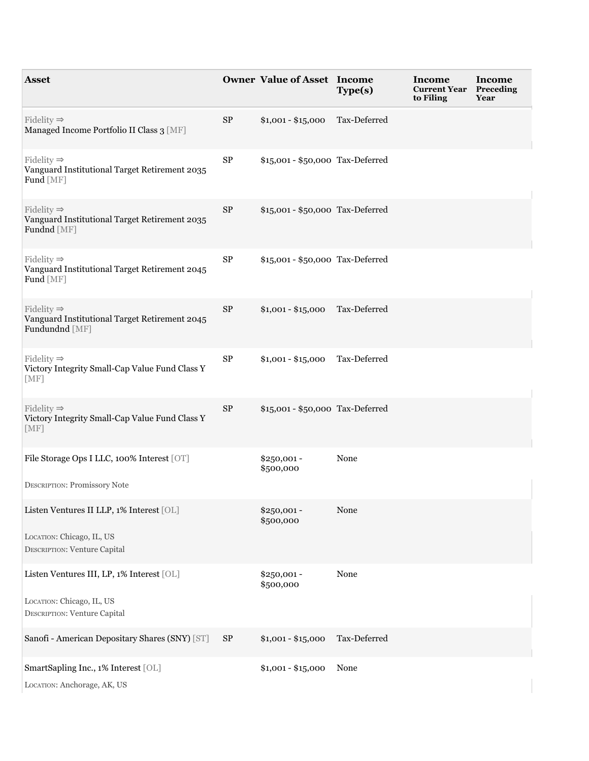| <b>Asset</b>                                                                              |            | <b>Owner Value of Asset Income</b> | Type(s)      | Income<br><b>Current Year</b><br>to Filing | Income<br>Preceding<br>Year |
|-------------------------------------------------------------------------------------------|------------|------------------------------------|--------------|--------------------------------------------|-----------------------------|
| Fidelity $\Rightarrow$<br>Managed Income Portfolio II Class 3 [MF]                        | ${\rm SP}$ | $$1,001 - $15,000$                 | Tax-Deferred |                                            |                             |
| Fidelity $\Rightarrow$<br>Vanguard Institutional Target Retirement 2035<br>Fund [MF]      | ${\rm SP}$ | \$15,001 - \$50,000 Tax-Deferred   |              |                                            |                             |
| Fidelity $\Rightarrow$<br>Vanguard Institutional Target Retirement 2035<br>Fundnd [MF]    | ${\rm SP}$ | \$15,001 - \$50,000 Tax-Deferred   |              |                                            |                             |
| Fidelity $\Rightarrow$<br>Vanguard Institutional Target Retirement 2045<br>Fund [MF]      | ${\rm SP}$ | \$15,001 - \$50,000 Tax-Deferred   |              |                                            |                             |
| Fidelity $\Rightarrow$<br>Vanguard Institutional Target Retirement 2045<br>Fundundnd [MF] | ${\rm SP}$ | $$1,001 - $15,000$                 | Tax-Deferred |                                            |                             |
| Fidelity $\Rightarrow$<br>Victory Integrity Small-Cap Value Fund Class Y<br>[MF]          | ${\rm SP}$ | $$1,001 - $15,000$                 | Tax-Deferred |                                            |                             |
| Fidelity $\Rightarrow$<br>Victory Integrity Small-Cap Value Fund Class Y<br>[MF]          | ${\rm SP}$ | \$15,001 - \$50,000 Tax-Deferred   |              |                                            |                             |
| File Storage Ops I LLC, 100% Interest [OT]<br><b>DESCRIPTION: Promissory Note</b>         |            | $$250,001 -$<br>\$500,000          | None         |                                            |                             |
| Listen Ventures II LLP, 1% Interest [OL]<br>LOCATION: Chicago, IL, US                     |            | $$250,001 -$<br>\$500,000          | None         |                                            |                             |
| DESCRIPTION: Venture Capital<br>Listen Ventures III, LP, 1% Interest [OL]                 |            | \$250,001 -                        | None         |                                            |                             |
| LOCATION: Chicago, IL, US<br>DESCRIPTION: Venture Capital                                 |            | \$500,000                          |              |                                            |                             |
| Sanofi - American Depositary Shares (SNY) [ST]                                            | <b>SP</b>  | $$1,001 - $15,000$                 | Tax-Deferred |                                            |                             |
| SmartSapling Inc., 1% Interest [OL]<br>LOCATION: Anchorage, AK, US                        |            | $$1,001 - $15,000$                 | None         |                                            |                             |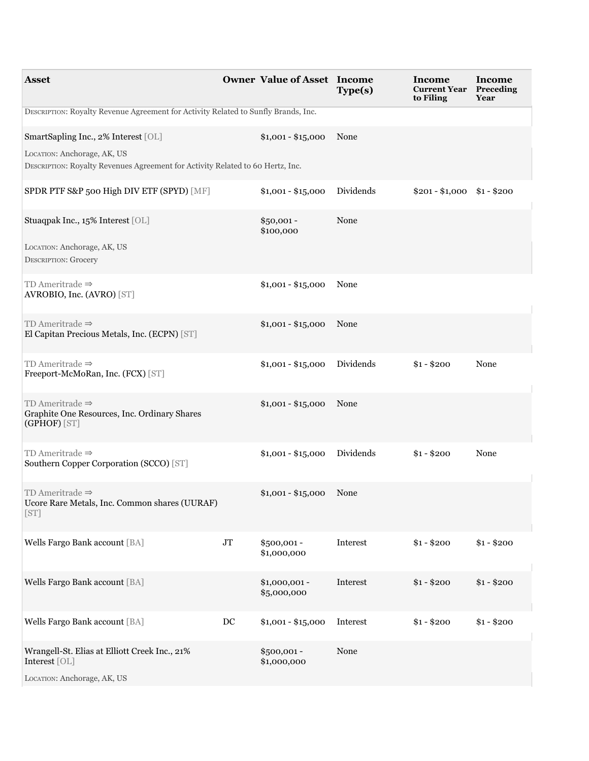| <b>Asset</b>                                                                                                  |                     | <b>Owner Value of Asset Income</b> | Type(s)   | Income<br><b>Current Year</b><br>to Filing | Income<br>Preceding<br>Year |
|---------------------------------------------------------------------------------------------------------------|---------------------|------------------------------------|-----------|--------------------------------------------|-----------------------------|
| DESCRIPTION: Royalty Revenue Agreement for Activity Related to Sunfly Brands, Inc.                            |                     |                                    |           |                                            |                             |
| SmartSapling Inc., 2% Interest [OL]                                                                           |                     | $$1,001 - $15,000$                 | None      |                                            |                             |
| LOCATION: Anchorage, AK, US<br>DESCRIPTION: Royalty Revenues Agreement for Activity Related to 60 Hertz, Inc. |                     |                                    |           |                                            |                             |
| SPDR PTF S&P 500 High DIV ETF (SPYD) [MF]                                                                     |                     | $$1,001 - $15,000$                 | Dividends | $$201 - $1,000$ $$1 - $200$                |                             |
| Stuaqpak Inc., 15% Interest [OL]                                                                              |                     | $$50,001 -$<br>\$100,000           | None      |                                            |                             |
| LOCATION: Anchorage, AK, US<br><b>DESCRIPTION: Grocery</b>                                                    |                     |                                    |           |                                            |                             |
| TD Ameritrade $\Rightarrow$<br>AVROBIO, Inc. (AVRO) [ST]                                                      |                     | $$1,001 - $15,000$                 | None      |                                            |                             |
| TD Ameritrade $\Rightarrow$<br>El Capitan Precious Metals, Inc. (ECPN) [ST]                                   |                     | $$1,001 - $15,000$                 | None      |                                            |                             |
| TD Ameritrade $\Rightarrow$<br>Freeport-McMoRan, Inc. (FCX) [ST]                                              |                     | $$1,001 - $15,000$                 | Dividends | $$1 - $200$                                | None                        |
| TD Ameritrade $\Rightarrow$<br>Graphite One Resources, Inc. Ordinary Shares<br>(GPHOF) [ST]                   |                     | $$1,001 - $15,000$                 | None      |                                            |                             |
| TD Ameritrade $\Rightarrow$<br>Southern Copper Corporation (SCCO) [ST]                                        |                     | $$1,001 - $15,000$                 | Dividends | $$1 - $200$                                | None                        |
| TD Ameritrade $\Rightarrow$<br>Ucore Rare Metals, Inc. Common shares (UURAF)<br>[ST]                          |                     | $$1,001 - $15,000$                 | None      |                                            |                             |
| Wells Fargo Bank account [BA]                                                                                 | <b>JT</b>           | \$500,001-<br>\$1,000,000          | Interest  | $$1 - $200$                                | $$1 - $200$                 |
| Wells Fargo Bank account [BA]                                                                                 |                     | $$1,000,001 -$<br>\$5,000,000      | Interest  | $$1 - $200$                                | $$1 - $200$                 |
| Wells Fargo Bank account [BA]                                                                                 | $\operatorname{DC}$ | $$1,001 - $15,000$                 | Interest  | $$1 - $200$                                | $$1 - $200$                 |
| Wrangell-St. Elias at Elliott Creek Inc., 21%<br>Interest [OL]                                                |                     | $$500,001 -$<br>\$1,000,000        | None      |                                            |                             |
| LOCATION: Anchorage, AK, US                                                                                   |                     |                                    |           |                                            |                             |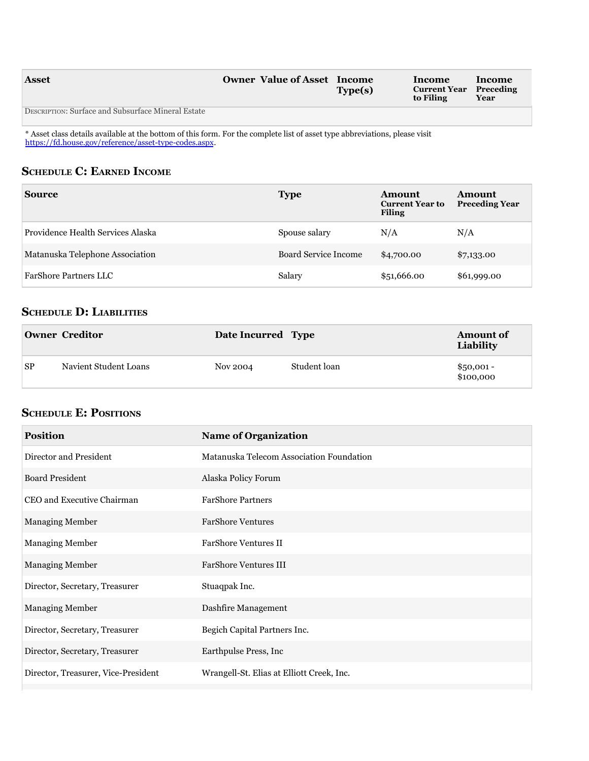| <b>Asset</b>                                       | <b>Owner Value of Asset Income</b> | Type(s) | <b>Income</b><br><b>Current Year</b> Preceding<br>to Filing | <b>Income</b><br>Year |
|----------------------------------------------------|------------------------------------|---------|-------------------------------------------------------------|-----------------------|
| DESCRIPTION: Surface and Subsurface Mineral Estate |                                    |         |                                                             |                       |

\* asset class details available at the bottom of this form. For the complete list of asset type abbreviations, please visit [https://fd.house.gov/reference/asset-type-codes.aspx.](https://fd.house.gov/reference/asset-type-codes.aspx)

## **SCHEDULE C: EARNED INCOME**

| <b>Source</b>                     | <b>Type</b>                 | <b>Amount</b><br><b>Current Year to</b><br><b>Filing</b> | Amount<br><b>Preceding Year</b> |
|-----------------------------------|-----------------------------|----------------------------------------------------------|---------------------------------|
| Providence Health Services Alaska | Spouse salary               | N/A                                                      | N/A                             |
| Matanuska Telephone Association   | <b>Board Service Income</b> | \$4,700.00                                               | \$7,133.00                      |
| <b>FarShore Partners LLC</b>      | Salary                      | \$51,666.00                                              | \$61,999.00                     |

## **ScheDule D: liabilitieS**

|           | <b>Owner Creditor</b> | Date Incurred Type |              | <b>Amount of</b><br>Liability |
|-----------|-----------------------|--------------------|--------------|-------------------------------|
| <b>SP</b> | Navient Student Loans | Nov 2004           | Student loan | $$50,001 -$<br>\$100,000      |

## **ScheDule e: POSitiONS**

| <b>Position</b>                     | <b>Name of Organization</b>               |
|-------------------------------------|-------------------------------------------|
| Director and President              | Matanuska Telecom Association Foundation  |
| <b>Board President</b>              | Alaska Policy Forum                       |
| CEO and Executive Chairman          | <b>FarShore Partners</b>                  |
| <b>Managing Member</b>              | <b>FarShore Ventures</b>                  |
| <b>Managing Member</b>              | <b>FarShore Ventures II</b>               |
| <b>Managing Member</b>              | <b>FarShore Ventures III</b>              |
| Director, Secretary, Treasurer      | Stuaqpak Inc.                             |
| <b>Managing Member</b>              | Dashfire Management                       |
| Director, Secretary, Treasurer      | Begich Capital Partners Inc.              |
| Director, Secretary, Treasurer      | Earthpulse Press, Inc                     |
| Director, Treasurer, Vice-President | Wrangell-St. Elias at Elliott Creek, Inc. |
|                                     |                                           |